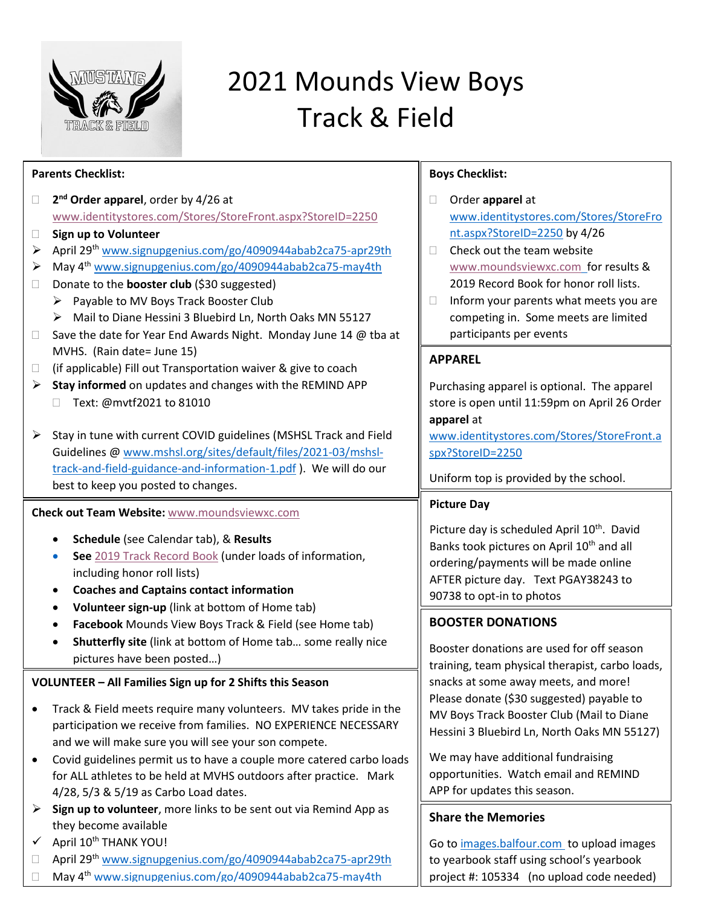

# 2021 Mounds View Boys Track & Field

| <b>Parents Checklist:</b>                                                                                                                                                                                                                                                                                                                                                                                                                                                                                                                                                                                                                                                    | <b>Boys Checklist:</b>                                                                                                                                                                                                                                                                                                                                                                                                   |  |  |
|------------------------------------------------------------------------------------------------------------------------------------------------------------------------------------------------------------------------------------------------------------------------------------------------------------------------------------------------------------------------------------------------------------------------------------------------------------------------------------------------------------------------------------------------------------------------------------------------------------------------------------------------------------------------------|--------------------------------------------------------------------------------------------------------------------------------------------------------------------------------------------------------------------------------------------------------------------------------------------------------------------------------------------------------------------------------------------------------------------------|--|--|
| 2 <sup>nd</sup> Order apparel, order by 4/26 at<br>□<br>www.identitystores.com/Stores/StoreFront.aspx?StoreID=2250<br>Sign up to Volunteer<br>$\Box$<br>April 29th www.signupgenius.com/go/4090944abab2ca75-apr29th<br>≻<br>May 4 <sup>th</sup> www.signupgenius.com/go/4090944abab2ca75-may4th<br>➤<br>Donate to the <b>booster club</b> (\$30 suggested)<br>$\Box$<br>Payable to MV Boys Track Booster Club<br>➤<br>Mail to Diane Hessini 3 Bluebird Ln, North Oaks MN 55127<br>Save the date for Year End Awards Night. Monday June 14 @ tba at<br>$\Box$                                                                                                                 | Order apparel at<br>www.identitystores.com/Stores/StoreFro<br>nt.aspx?StoreID=2250 by 4/26<br>Check out the team website<br>$\Box$<br>www.moundsviewxc.com for results &<br>2019 Record Book for honor roll lists.<br>Inform your parents what meets you are<br>$\Box$<br>competing in. Some meets are limited<br>participants per events                                                                                |  |  |
| MVHS. (Rain date= June 15)<br>(if applicable) Fill out Transportation waiver & give to coach<br>$\Box$<br>Stay informed on updates and changes with the REMIND APP<br>➤<br>Text: @mvtf2021 to 81010<br>Stay in tune with current COVID guidelines (MSHSL Track and Field<br>➤<br>Guidelines @ www.mshsl.org/sites/default/files/2021-03/mshsl-<br>track-and-field-guidance-and-information-1.pdf). We will do our<br>best to keep you posted to changes.                                                                                                                                                                                                                     | <b>APPAREL</b><br>Purchasing apparel is optional. The apparel<br>store is open until 11:59pm on April 26 Order<br>apparel at<br>www.identitystores.com/Stores/StoreFront.a<br>spx?StoreID=2250<br>Uniform top is provided by the school.                                                                                                                                                                                 |  |  |
| Check out Team Website: www.moundsviewxc.com<br>Schedule (see Calendar tab), & Results<br>See 2019 Track Record Book (under loads of information,<br>including honor roll lists)<br><b>Coaches and Captains contact information</b>                                                                                                                                                                                                                                                                                                                                                                                                                                          | <b>Picture Day</b><br>Picture day is scheduled April 10 <sup>th</sup> . David<br>Banks took pictures on April 10 <sup>th</sup> and all<br>ordering/payments will be made online<br>AFTER picture day. Text PGAY38243 to<br>90738 to opt-in to photos                                                                                                                                                                     |  |  |
| Volunteer sign-up (link at bottom of Home tab)<br>Facebook Mounds View Boys Track & Field (see Home tab)<br>Shutterfly site (link at bottom of Home tab some really nice<br>pictures have been posted)<br>VOLUNTEER - All Families Sign up for 2 Shifts this Season<br>Track & Field meets require many volunteers. MV takes pride in the<br>٠<br>participation we receive from families. NO EXPERIENCE NECESSARY<br>and we will make sure you will see your son compete.<br>Covid guidelines permit us to have a couple more catered carbo loads<br>$\bullet$<br>for ALL athletes to be held at MVHS outdoors after practice. Mark<br>4/28, 5/3 & 5/19 as Carbo Load dates. | <b>BOOSTER DONATIONS</b><br>Booster donations are used for off season<br>training, team physical therapist, carbo loads,<br>snacks at some away meets, and more!<br>Please donate (\$30 suggested) payable to<br>MV Boys Track Booster Club (Mail to Diane<br>Hessini 3 Bluebird Ln, North Oaks MN 55127)<br>We may have additional fundraising<br>opportunities. Watch email and REMIND<br>APP for updates this season. |  |  |
| Sign up to volunteer, more links to be sent out via Remind App as<br>➤<br>they become available<br>April 10th THANK YOU!<br>April 29 <sup>th</sup> www.signupgenius.com/go/4090944abab2ca75-apr29th<br>$\Box$<br>May 4 <sup>th</sup> www.signupgenius.com/go/4090944abab2ca75-may4th                                                                                                                                                                                                                                                                                                                                                                                         | <b>Share the Memories</b><br>Go to images.balfour.com to upload images<br>to yearbook staff using school's yearbook<br>project #: 105334 (no upload code needed)                                                                                                                                                                                                                                                         |  |  |

□ May 4<sup>th</sup> [www.signupgenius.com/go/4090944abab2ca75-may4th](https://www.signupgenius.com/go/4090944abab2ca75-may4th)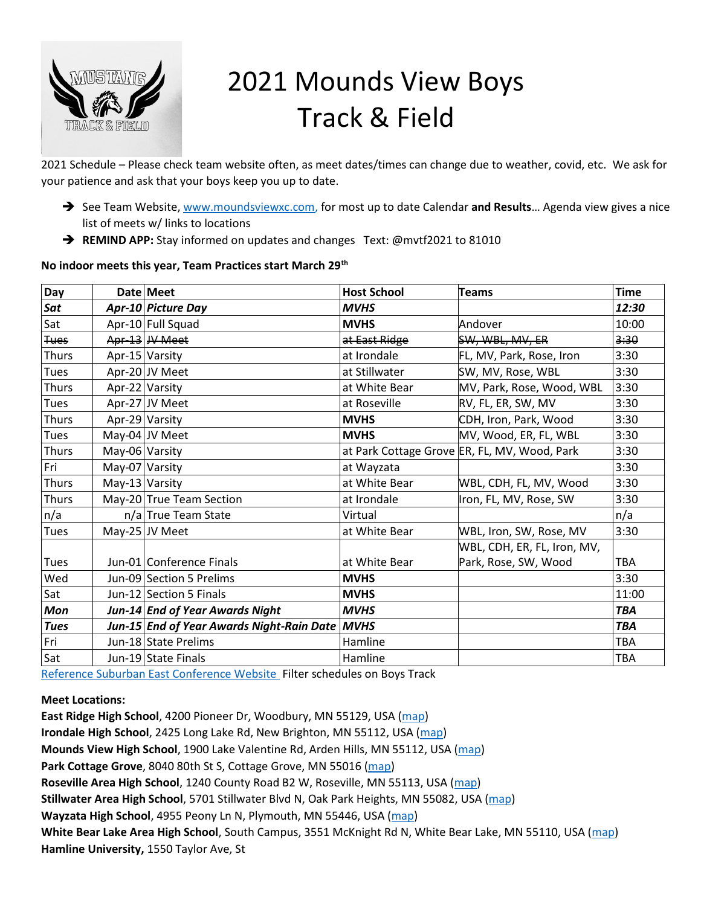

# 2021 Mounds View Boys Track & Field

2021 Schedule – Please check team website often, as meet dates/times can change due to weather, covid, etc. We ask for your patience and ask that your boys keep you up to date.

- ➔ See Team Website, [www.moundsviewxc.com,](https://www.moundsviewxc.com/) for most up to date Calendar **and Results**… Agenda view gives a nice list of meets w/ links to locations
- ➔ **REMIND APP:** Stay informed on updates and changes Text: @mvtf2021 to 81010

#### **No indoor meets this year, Team Practices start March 29th**

| Day          |                | Date Meet                                 | <b>Host School</b> | <b>Teams</b>                                 | <b>Time</b> |
|--------------|----------------|-------------------------------------------|--------------------|----------------------------------------------|-------------|
| Sat          |                | Apr-10 Picture Day                        | <b>MVHS</b>        |                                              | 12:30       |
| Sat          |                | Apr-10 Full Squad                         | <b>MVHS</b>        | Andover                                      | 10:00       |
| <b>Tues</b>  |                | Apr-13 JV Meet                            | at East Ridge      | SW, WBL, MV, ER                              | 3:30        |
| Thurs        |                | Apr-15 Varsity                            | at Irondale        | FL, MV, Park, Rose, Iron                     | 3:30        |
| Tues         |                | Apr-20 JV Meet                            | at Stillwater      | 3:30<br>SW, MV, Rose, WBL                    |             |
| <b>Thurs</b> |                | Apr-22 Varsity                            | at White Bear      | 3:30<br>MV, Park, Rose, Wood, WBL            |             |
| <b>Tues</b>  |                | Apr-27 JV Meet                            | at Roseville       | RV, FL, ER, SW, MV<br>3:30                   |             |
| <b>Thurs</b> |                | Apr-29 Varsity                            | <b>MVHS</b>        | CDH, Iron, Park, Wood<br>3:30                |             |
| Tues         |                | May-04 JV Meet                            | <b>MVHS</b>        | MV, Wood, ER, FL, WBL                        | 3:30        |
| Thurs        | May-06 Varsity |                                           |                    | at Park Cottage Grove ER, FL, MV, Wood, Park | 3:30        |
| Fri          | May-07 Varsity |                                           | at Wayzata         |                                              | 3:30        |
| Thurs        | May-13 Varsity |                                           | at White Bear      | WBL, CDH, FL, MV, Wood                       | 3:30        |
| <b>Thurs</b> |                | May-20 True Team Section                  | at Irondale        | Iron, FL, MV, Rose, SW                       | 3:30        |
| n/a          |                | n/a True Team State                       | Virtual            |                                              | n/a         |
| Tues         |                | May-25 JV Meet                            | at White Bear      | WBL, Iron, SW, Rose, MV                      | 3:30        |
|              |                |                                           |                    | WBL, CDH, ER, FL, Iron, MV,                  |             |
| Tues         |                | Jun-01 Conference Finals                  | at White Bear      | Park, Rose, SW, Wood                         | <b>TBA</b>  |
| Wed          |                | Jun-09 Section 5 Prelims                  | <b>MVHS</b>        |                                              | 3:30        |
| Sat          |                | Jun-12 Section 5 Finals                   | <b>MVHS</b>        |                                              | 11:00       |
| <b>Mon</b>   |                | Jun-14 End of Year Awards Night           | <b>MVHS</b>        |                                              | <b>TBA</b>  |
| <b>Tues</b>  |                | Jun-15 End of Year Awards Night-Rain Date | <b>MVHS</b>        |                                              | <b>TBA</b>  |
| Fri          |                | Jun-18 State Prelims                      | Hamline            |                                              | TBA         |
| Sat          |                | Jun-19 State Finals                       | Hamline            |                                              | <b>TBA</b>  |

[Reference Suburban East Conference Website](https://www.suburbaneast.org/g5-bin/client.cgi?G5button=13) Filter schedules on Boys Track

#### **Meet Locations:**

**East Ridge High School**, 4200 Pioneer Dr, Woodbury, MN 55129, USA [\(map\)](https://maps.google.com/maps?hl=en&q=East%20Ridge%20High%20School%2C%204200%20Pioneer%20Dr%2C%20Woodbury%2C%20MN%2055129%2C%20USA) **Irondale High School**, 2425 Long Lake Rd, New Brighton, MN 55112, USA [\(map\)](https://maps.google.com/maps?hl=en&q=Irondale%20High%20School%2C%202425%20Long%20Lake%20Rd%2C%20New%20Brighton%2C%20MN%2055112%2C%20USA) **Mounds View High School**, 1900 Lake Valentine Rd, Arden Hills, MN 55112, USA [\(map\)](https://maps.google.com/maps?hl=en&q=Mounds%20View%20High%20School%2C%201900%20Lake%20Valentine%20Rd%2C%20Arden%20Hills%2C%20MN%2055112%2C%20USA) **Park Cottage Grove**, 8040 80th St S, Cottage Grove, MN 55016 [\(map\)](https://maps.google.com/maps?hl=en&q=8040%2080th%20St%20S%2C%20Cottage%20Grove%2C%20MN%2055016) **Roseville Area High School**, 1240 County Road B2 W, Roseville, MN 55113, USA [\(map\)](https://maps.google.com/maps?hl=en&q=Roseville%20Area%20High%20School%2C%201240%20County%20Road%20B2%20W%2C%20Roseville%2C%20MN%2055113%2C%20USA) **Stillwater Area High School**, 5701 Stillwater Blvd N, Oak Park Heights, MN 55082, USA [\(map\)](https://maps.google.com/maps?hl=en&q=Stillwater%20Area%20High%20School%2C%205701%20Stillwater%20Blvd%20N%2C%20Oak%20Park%20Heights%2C%20MN%2055082%2C%20USA) **Wayzata High School**, 4955 Peony Ln N, Plymouth, MN 55446, USA [\(map\)](https://maps.google.com/maps?hl=en&q=Wayzata%20High%20School%2C%204955%20Peony%20Ln%20N%2C%20Plymouth%2C%20MN%2055446%2C%20USA) **White Bear Lake Area High School**, South Campus, 3551 McKnight Rd N, White Bear Lake, MN 55110, USA [\(map\)](https://maps.google.com/maps?hl=en&q=White%20Bear%20Lake%20Area%20High%20School%20-%20South%20Campus%2C%203551%20McKnight%20Rd%20N%2C%20White%20Bear%20Lake%2C%20MN%2055110%2C%20USA) **Hamline University,** 1550 Taylor Ave, St